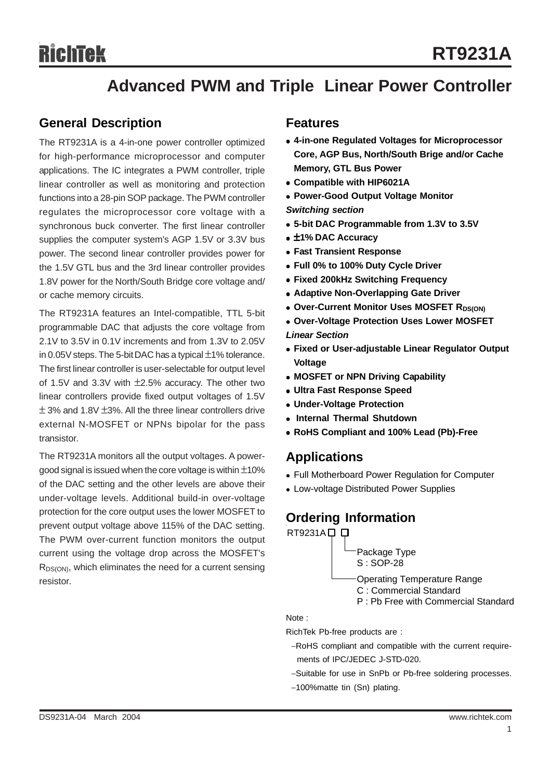# **Advanced PWM and Triple Linear Power Controller**

### **General Description**

The RT9231A is a 4-in-one power controller optimized for high-performance microprocessor and computer applications. The IC integrates a PWM controller, triple linear controller as well as monitoring and protection functions into a 28-pin SOP package. The PWM controller regulates the microprocessor core voltage with a synchronous buck converter. The first linear controller supplies the computer system's AGP 1.5V or 3.3V bus power. The second linear controller provides power for the 1.5V GTL bus and the 3rd linear controller provides 1.8V power for the North/South Bridge core voltage and/ or cache memory circuits.

The RT9231A features an Intel-compatible, TTL 5-bit programmable DAC that adjusts the core voltage from 2.1V to 3.5V in 0.1V increments and from 1.3V to 2.05V in 0.05V steps. The 5-bit DAC has a typical ±1% tolerance. The first linear controller is user-selectable for output level of 1.5V and 3.3V with ±2.5% accuracy. The other two linear controllers provide fixed output voltages of 1.5V  $\pm$  3% and 1.8V  $\pm$ 3%. All the three linear controllers drive external N-MOSFET or NPNs bipolar for the pass transistor.

The RT9231A monitors all the output voltages. A powergood signal is issued when the core voltage is within  $\pm$ 10% of the DAC setting and the other levels are above their under-voltage levels. Additional build-in over-voltage protection for the core output uses the lower MOSFET to prevent output voltage above 115% of the DAC setting. The PWM over-current function monitors the output current using the voltage drop across the MOSFET's  $R_{DS(ON)}$ , which eliminates the need for a current sensing resistor.

#### **Features**

- <sup>z</sup> **4-in-one Regulated Voltages for Microprocessor Core, AGP Bus, North/South Brige and/or Cache Memory, GTL Bus Power**
- <sup>z</sup> **Compatible with HIP6021A**
- **Power-Good Output Voltage Monitor**

*Switching section*

- <sup>z</sup> **5-bit DAC Programmable from 1.3V to 3.5V**
- <sup>z</sup> ±**1% DAC Accuracy**
- **Fast Transient Response**
- <sup>z</sup> **Full 0% to 100% Duty Cycle Driver**
- <sup>z</sup> **Fixed 200kHz Switching Frequency**
- **Adaptive Non-Overlapping Gate Driver**
- **Over-Current Monitor Uses MOSFET RDS(ON)**
- <sup>z</sup> **Over-Voltage Protection Uses Lower MOSFET**
- *Linear Section*
- **Fixed or User-adjustable Linear Regulator Output Voltage**
- **MOSFET or NPN Driving Capability**
- **Ultra Fast Response Speed**
- <sup>z</sup> **Under-Voltage Protection**
- **Internal Thermal Shutdown**
- <sup>z</sup> **RoHS Compliant and 100% Lead (Pb)-Free**

### **Applications**

- Full Motherboard Power Regulation for Computer
- Low-voltage Distributed Power Supplies

# **Ordering Information**



Note :

RichTek Pb-free products are :

- −RoHS compliant and compatible with the current require ments of IPC/JEDEC J-STD-020.
- −Suitable for use in SnPb or Pb-free soldering processes.
- −100%matte tin (Sn) plating.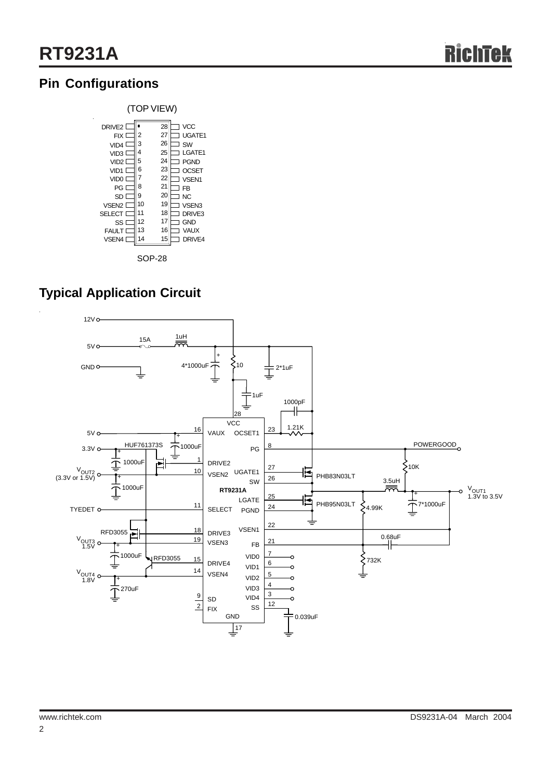# **Pin Configurations**



# **Typical Application Circuit**

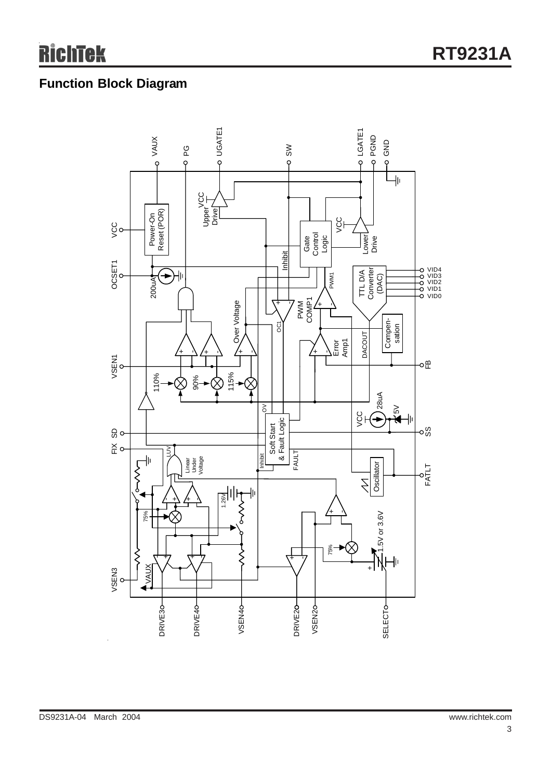# **Function Block Diagram**

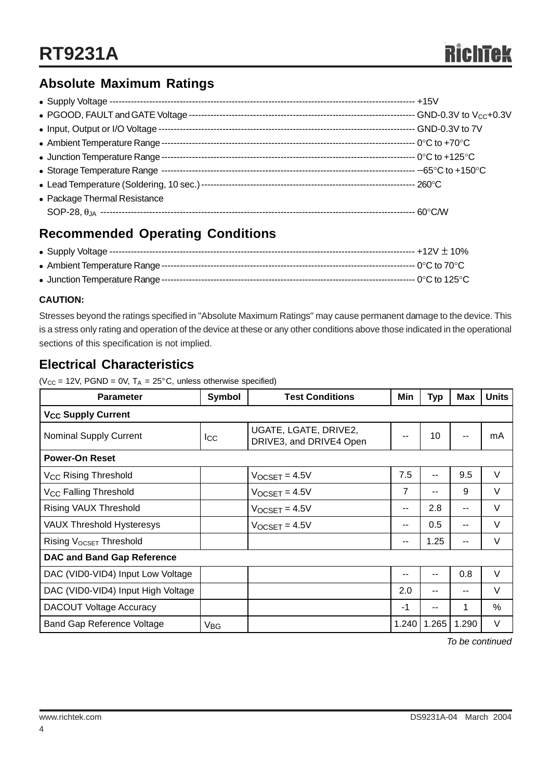# **Absolute Maximum Ratings**

| • Input, Output or I/O Voltage - |  |
|----------------------------------|--|
|                                  |  |
| • Junction Temperature Range --  |  |
|                                  |  |
|                                  |  |
| • Package Thermal Resistance     |  |
|                                  |  |

# **Recommended Operating Conditions**

#### **CAUTION:**

Stresses beyond the ratings specified in "Absolute Maximum Ratings" may cause permanent damage to the device. This is a stress only rating and operation of the device at these or any other conditions above those indicated in the operational sections of this specification is not implied.

# **Electrical Characteristics**

( $V_{CC}$  = 12V, PGND = 0V,  $T_A$  = 25°C, unless otherwise specified)

| <b>Parameter</b>                     | Symbol<br><b>Test Conditions</b> |                                                  | Min                      | <b>Typ</b>               | <b>Max</b>               | <b>Units</b> |  |
|--------------------------------------|----------------------------------|--------------------------------------------------|--------------------------|--------------------------|--------------------------|--------------|--|
| <b>V<sub>CC</sub> Supply Current</b> |                                  |                                                  |                          |                          |                          |              |  |
| <b>Nominal Supply Current</b>        | $_{\rm lcc}$                     | UGATE, LGATE, DRIVE2,<br>DRIVE3, and DRIVE4 Open |                          | 10                       | $- -$                    | mA           |  |
| <b>Power-On Reset</b>                |                                  |                                                  |                          |                          |                          |              |  |
| V <sub>CC</sub> Rising Threshold     |                                  | $V_{OCSET} = 4.5V$                               | 7.5                      | $\overline{\phantom{a}}$ | 9.5                      | $\vee$       |  |
| V <sub>CC</sub> Falling Threshold    |                                  | $V_{OCSET} = 4.5V$                               | 7                        |                          | 9                        | V            |  |
| Rising VAUX Threshold                |                                  | $V$ <sub>OCSET</sub> = $4.5V$                    | --                       | 2.8                      | $- -$                    | $\vee$       |  |
| <b>VAUX Threshold Hysteresys</b>     |                                  | $V$ OCSET = 4.5V                                 | $- -$                    | 0.5                      | $-$                      | $\vee$       |  |
| Rising V <sub>OCSET</sub> Threshold  |                                  |                                                  | $\overline{\phantom{a}}$ | 1.25                     | $\overline{\phantom{a}}$ | $\vee$       |  |
| <b>DAC and Band Gap Reference</b>    |                                  |                                                  |                          |                          |                          |              |  |
| DAC (VID0-VID4) Input Low Voltage    |                                  |                                                  | --                       | $-$                      | 0.8                      | $\vee$       |  |
| DAC (VID0-VID4) Input High Voltage   |                                  |                                                  | 2.0                      | --                       | $- -$                    | V            |  |
| <b>DACOUT Voltage Accuracy</b>       |                                  |                                                  | $-1$                     | $- -$                    | 1                        | $\%$         |  |
| <b>Band Gap Reference Voltage</b>    | V <sub>BG</sub>                  |                                                  | 1.240                    | 1.265                    | 1.290                    | V            |  |

*To be continued*

4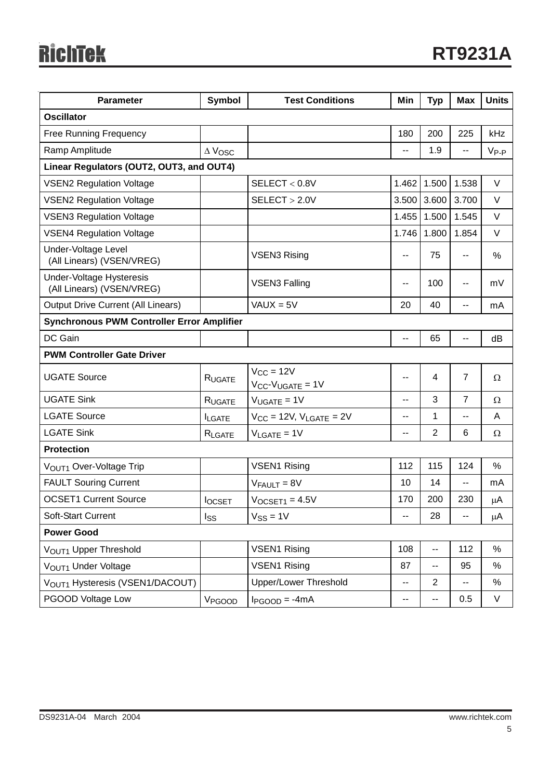| <b>Parameter</b>                                             | <b>Symbol</b><br><b>Test Conditions</b> |                                               | Min                      | <b>Typ</b>               | <b>Max</b>     | <b>Units</b>  |  |
|--------------------------------------------------------------|-----------------------------------------|-----------------------------------------------|--------------------------|--------------------------|----------------|---------------|--|
| <b>Oscillator</b>                                            |                                         |                                               |                          |                          |                |               |  |
| <b>Free Running Frequency</b>                                |                                         |                                               | 180                      | 200                      | 225            | kHz           |  |
| Ramp Amplitude                                               | $\Delta$ Vosc                           |                                               | $\overline{a}$           | 1.9                      | --             | $V_{P-P}$     |  |
| Linear Regulators (OUT2, OUT3, and OUT4)                     |                                         |                                               |                          |                          |                |               |  |
| <b>VSEN2 Regulation Voltage</b>                              |                                         | SELECT < 0.8V                                 | 1.462                    | 1.500                    | 1.538          | $\vee$        |  |
| <b>VSEN2 Regulation Voltage</b>                              |                                         | SELECT > 2.0V                                 | 3.500                    | 3.600                    | 3.700          | $\vee$        |  |
| <b>VSEN3 Regulation Voltage</b>                              |                                         |                                               | 1.455                    | 1.500                    | 1.545          | V             |  |
| <b>VSEN4 Regulation Voltage</b>                              |                                         |                                               | 1.746                    | 1.800                    | 1.854          | V             |  |
| Under-Voltage Level<br>(All Linears) (VSEN/VREG)             |                                         | <b>VSEN3 Rising</b>                           | $\overline{\phantom{a}}$ | 75                       | --             | $\%$          |  |
| <b>Under-Voltage Hysteresis</b><br>(All Linears) (VSEN/VREG) | <b>VSEN3 Falling</b>                    |                                               | ۰.                       | 100                      | --             | mV            |  |
| <b>Output Drive Current (All Linears)</b>                    |                                         | $VAUX = 5V$                                   | 20                       | 40                       | --             | mA            |  |
| <b>Synchronous PWM Controller Error Amplifier</b>            |                                         |                                               |                          |                          |                |               |  |
| DC Gain                                                      |                                         |                                               | $\overline{\phantom{a}}$ | 65                       | --             | dB            |  |
| <b>PWM Controller Gate Driver</b>                            |                                         |                                               |                          |                          |                |               |  |
| <b>UGATE Source</b>                                          | RUGATE                                  | $V_{CC} = 12V$<br>$V_{CC}$ - $V_{UGATE}$ = 1V | $-$                      | 4                        | $\overline{7}$ | $\Omega$      |  |
| <b>UGATE Sink</b>                                            | RUGATE                                  | $V_{UGATE} = 1V$                              | $\overline{a}$           | 3                        | 7              | $\Omega$      |  |
| <b>LGATE Source</b>                                          | <b>ILGATE</b>                           | $V_{CC}$ = 12V, $V_{LGATE}$ = 2V              | --                       | 1                        | --             | A             |  |
| <b>LGATE Sink</b>                                            | RLGATE                                  | $V_{\text{LGATE}} = 1V$                       | $\overline{a}$           | $\overline{2}$           | 6              | $\Omega$      |  |
| <b>Protection</b>                                            |                                         |                                               |                          |                          |                |               |  |
| VOUT1 Over-Voltage Trip                                      |                                         | <b>VSEN1 Rising</b>                           | 112                      | 115                      | 124            | $\frac{0}{0}$ |  |
| <b>FAULT Souring Current</b>                                 |                                         | $V_{FAULT} = 8V$                              | 10                       | 14                       | $-$            | mA            |  |
| <b>OCSET1 Current Source</b>                                 | <b>locsET</b>                           | $V$ OCSET <sub>1</sub> = 4.5 $V$              | 170                      | 200                      | 230            | μA            |  |
| Soft-Start Current                                           | Iss                                     | $V_{SS} = 1V$                                 |                          | 28                       |                | μA            |  |
| <b>Power Good</b>                                            |                                         |                                               |                          |                          |                |               |  |
| VOUT1 Upper Threshold                                        |                                         | <b>VSEN1 Rising</b>                           | 108                      | --                       | 112            | %             |  |
| VOUT1 Under Voltage                                          |                                         | <b>VSEN1 Rising</b><br>87                     |                          | --                       | 95             | %             |  |
| VOUT1 Hysteresis (VSEN1/DACOUT)                              |                                         | <b>Upper/Lower Threshold</b>                  | $\mathbf{u}$             | $\overline{2}$           | --             | %             |  |
| PGOOD Voltage Low                                            | V <sub>PGOOD</sub>                      | $I_{PGOOD} = -4mA$                            | $\overline{\phantom{a}}$ | $\overline{\phantom{a}}$ | 0.5            | V             |  |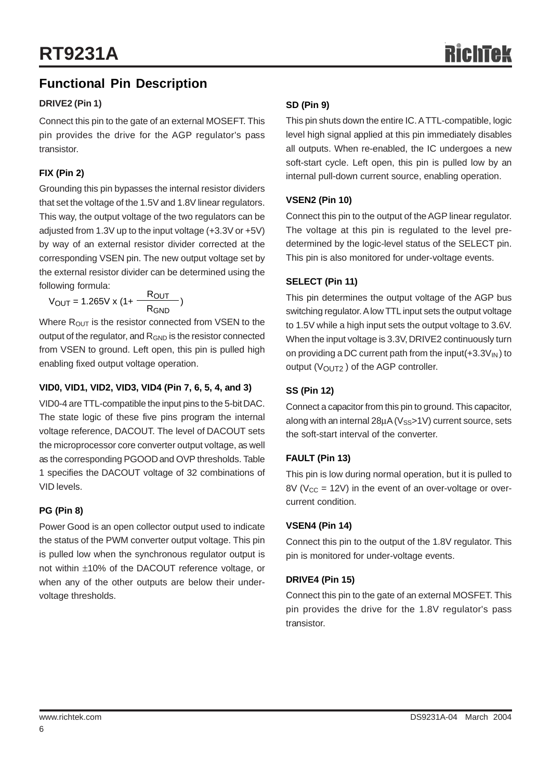# **Functional Pin Description**

#### **DRIVE2 (Pin 1)**

Connect this pin to the gate of an external MOSEFT. This pin provides the drive for the AGP regulator's pass transistor.

#### **FIX (Pin 2)**

Grounding this pin bypasses the internal resistor dividers that set the voltage of the 1.5V and 1.8V linear regulators. This way, the output voltage of the two regulators can be adjusted from 1.3V up to the input voltage (+3.3V or +5V) by way of an external resistor divider corrected at the corresponding VSEN pin. The new output voltage set by the external resistor divider can be determined using the following formula:

 $V_{\text{OUT}} = 1.265 \text{V} \times (1 + \frac{\text{R}_{\text{OUT}}}{\text{R}_{\text{GND}}})$ 

Where  $R_{OUT}$  is the resistor connected from VSEN to the output of the regulator, and  $R_{GND}$  is the resistor connected from VSEN to ground. Left open, this pin is pulled high enabling fixed output voltage operation.

#### **VID0, VID1, VID2, VID3, VID4 (Pin 7, 6, 5, 4, and 3)**

VID0-4 are TTL-compatible the input pins to the 5-bit DAC. The state logic of these five pins program the internal voltage reference, DACOUT. The level of DACOUT sets the microprocessor core converter output voltage, as well as the corresponding PGOOD and OVP thresholds. Table 1 specifies the DACOUT voltage of 32 combinations of VID levels.

#### **PG (Pin 8)**

Power Good is an open collector output used to indicate the status of the PWM converter output voltage. This pin is pulled low when the synchronous regulator output is not within ±10% of the DACOUT reference voltage, or when any of the other outputs are below their undervoltage thresholds.

#### **SD (Pin 9)**

This pin shuts down the entire IC. A TTL-compatible, logic level high signal applied at this pin immediately disables all outputs. When re-enabled, the IC undergoes a new soft-start cycle. Left open, this pin is pulled low by an internal pull-down current source, enabling operation.

#### **VSEN2 (Pin 10)**

Connect this pin to the output of the AGP linear regulator. The voltage at this pin is regulated to the level predetermined by the logic-level status of the SELECT pin. This pin is also monitored for under-voltage events.

#### **SELECT (Pin 11)**

This pin determines the output voltage of the AGP bus switching regulator. A low TTL input sets the output voltage to 1.5V while a high input sets the output voltage to 3.6V. When the input voltage is 3.3V, DRIVE2 continuously turn on providing a DC current path from the input( $+3.3V_{\text{IN}}$ ) to output  $(V<sub>OUT2</sub>)$  of the AGP controller.

#### **SS (Pin 12)**

Connect a capacitor from this pin to ground. This capacitor, along with an internal  $28\mu$ A ( $V_{SS}$ >1V) current source, sets the soft-start interval of the converter.

#### **FAULT (Pin 13)**

This pin is low during normal operation, but it is pulled to  $8V$  (V<sub>CC</sub> = 12V) in the event of an over-voltage or overcurrent condition.

#### **VSEN4 (Pin 14)**

Connect this pin to the output of the 1.8V regulator. This pin is monitored for under-voltage events.

#### **DRIVE4 (Pin 15)**

Connect this pin to the gate of an external MOSFET. This pin provides the drive for the 1.8V regulator's pass transistor.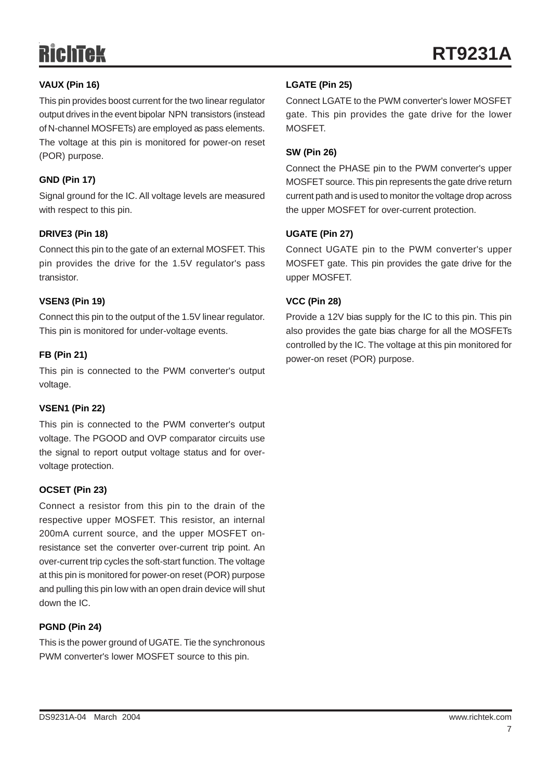#### **VAUX (Pin 16)**

This pin provides boost current for the two linear regulator output drives in the event bipolar NPN transistors (instead of N-channel MOSFETs) are employed as pass elements. The voltage at this pin is monitored for power-on reset (POR) purpose.

#### **GND (Pin 17)**

Signal ground for the IC. All voltage levels are measured with respect to this pin.

#### **DRIVE3 (Pin 18)**

Connect this pin to the gate of an external MOSFET. This pin provides the drive for the 1.5V regulator's pass transistor.

#### **VSEN3 (Pin 19)**

Connect this pin to the output of the 1.5V linear regulator. This pin is monitored for under-voltage events.

#### **FB (Pin 21)**

This pin is connected to the PWM converter's output voltage.

#### **VSEN1 (Pin 22)**

This pin is connected to the PWM converter's output voltage. The PGOOD and OVP comparator circuits use the signal to report output voltage status and for overvoltage protection.

#### **OCSET (Pin 23)**

Connect a resistor from this pin to the drain of the respective upper MOSFET. This resistor, an internal 200mA current source, and the upper MOSFET onresistance set the converter over-current trip point. An over-current trip cycles the soft-start function. The voltage at this pin is monitored for power-on reset (POR) purpose and pulling this pin low with an open drain device will shut down the IC.

#### **PGND (Pin 24)**

This is the power ground of UGATE. Tie the synchronous PWM converter's lower MOSFET source to this pin.

#### **LGATE (Pin 25)**

Connect LGATE to the PWM converter's lower MOSFET gate. This pin provides the gate drive for the lower **MOSFFT** 

#### **SW (Pin 26)**

Connect the PHASE pin to the PWM converter's upper MOSFET source. This pin represents the gate drive return current path and is used to monitor the voltage drop across the upper MOSFET for over-current protection.

#### **UGATE (Pin 27)**

Connect UGATE pin to the PWM converter's upper MOSFET gate. This pin provides the gate drive for the upper MOSFET.

#### **VCC (Pin 28)**

Provide a 12V bias supply for the IC to this pin. This pin also provides the gate bias charge for all the MOSFETs controlled by the IC. The voltage at this pin monitored for power-on reset (POR) purpose.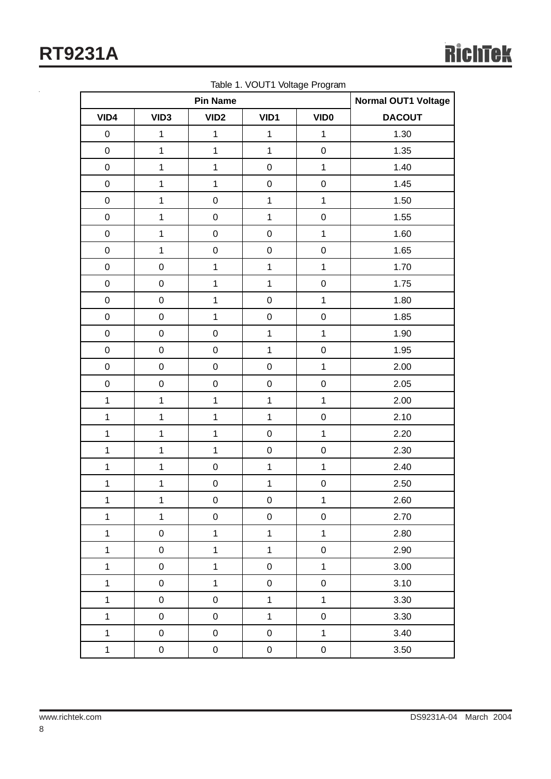**RT9231A**

|              | rable 1. voor involtage in ogram<br><b>Pin Name</b> |                  |              |                | Normal OUT1 Voltage |
|--------------|-----------------------------------------------------|------------------|--------------|----------------|---------------------|
| VID4         | VID <sub>3</sub>                                    | VID <sub>2</sub> | VID1         | <b>VIDO</b>    | <b>DACOUT</b>       |
| $\pmb{0}$    | $\mathbf 1$                                         | $\mathbf{1}$     | $\mathbf{1}$ | $\mathbf{1}$   | 1.30                |
| $\mathbf 0$  | $\mathbf 1$                                         | $\mathbf{1}$     | $\mathbf{1}$ | $\pmb{0}$      | 1.35                |
| $\mathbf 0$  | $\mathbf 1$                                         | $\mathbf{1}$     | $\pmb{0}$    | $\mathbf{1}$   | 1.40                |
| $\mathbf 0$  | $\mathbf 1$                                         | $\mathbf{1}$     | $\pmb{0}$    | $\mathbf 0$    | 1.45                |
| $\mathbf 0$  | $\mathbf 1$                                         | $\mathsf 0$      | $\mathbf{1}$ | $\mathbf 1$    | 1.50                |
| $\pmb{0}$    | $\mathbf 1$                                         | $\mathbf 0$      | $\mathbf{1}$ | $\pmb{0}$      | 1.55                |
| $\pmb{0}$    | $\mathbf 1$                                         | $\pmb{0}$        | $\pmb{0}$    | $\mathbf{1}$   | 1.60                |
| $\pmb{0}$    | $\mathbf 1$                                         | $\mathbf 0$      | $\pmb{0}$    | $\mathbf 0$    | 1.65                |
| $\pmb{0}$    | $\pmb{0}$                                           | $\mathbf{1}$     | $\mathbf{1}$ | $\mathbf{1}$   | 1.70                |
| $\pmb{0}$    | ${\bf 0}$                                           | $\mathbf{1}$     | $\mathbf{1}$ | $\pmb{0}$      | 1.75                |
| $\pmb{0}$    | $\pmb{0}$                                           | $\mathbf{1}$     | $\pmb{0}$    | $\mathbf{1}$   | 1.80                |
| $\pmb{0}$    | ${\bf 0}$                                           | $\mathbf{1}$     | $\pmb{0}$    | $\mathbf 0$    | 1.85                |
| $\pmb{0}$    | $\pmb{0}$                                           | $\pmb{0}$        | $\mathbf{1}$ | $\mathbf 1$    | 1.90                |
| $\pmb{0}$    | ${\bf 0}$                                           | $\mathbf 0$      | $\mathbf{1}$ | $\mathbf 0$    | 1.95                |
| $\pmb{0}$    | $\pmb{0}$                                           | $\mathbf 0$      | $\pmb{0}$    | $\mathbf 1$    | 2.00                |
| $\mathbf 0$  | $\pmb{0}$                                           | $\mathbf 0$      | $\mathsf 0$  | $\pmb{0}$      | 2.05                |
| $\mathbf{1}$ | $\mathbf 1$                                         | $\mathbf{1}$     | $\mathbf 1$  | $\mathbf 1$    | 2.00                |
| $\mathbf{1}$ | $\mathbf 1$                                         | $\mathbf{1}$     | $\mathbf{1}$ | $\pmb{0}$      | 2.10                |
| $\mathbf{1}$ | $\mathbf 1$                                         | $\mathbf{1}$     | $\pmb{0}$    | $\mathbf 1$    | 2.20                |
| $\mathbf{1}$ | $\mathbf 1$                                         | $\mathbf{1}$     | $\pmb{0}$    | $\pmb{0}$      | 2.30                |
| $\mathbf{1}$ | $\mathbf 1$                                         | $\pmb{0}$        | $\mathbf{1}$ | $\mathbf 1$    | 2.40                |
| $\mathbf 1$  | $\mathbf 1$                                         | $\pmb{0}$        | $\mathbf 1$  | $\mathbf 0$    | 2.50                |
| $\mathbf{1}$ | $\mathbf 1$                                         | $\mathbf 0$      | $\pmb{0}$    | $\mathbf 1$    | 2.60                |
| $\mathbf{1}$ | $\mathbf 1$                                         | $\mathbf 0$      | 0            | $\pmb{0}$      | 2.70                |
| $\mathbf{1}$ | $\pmb{0}$                                           | $\mathbf 1$      | $\mathbf 1$  | $\mathbf{1}$   | 2.80                |
| $\mathbf{1}$ | $\mathbf 0$                                         | $\mathbf 1$      | $\mathbf{1}$ | $\pmb{0}$      | 2.90                |
| $\mathbf{1}$ | $\pmb{0}$                                           | $\mathbf 1$      | $\pmb{0}$    | $\overline{1}$ | 3.00                |
| $\mathbf{1}$ | $\mathbf 0$                                         | $\mathbf{1}$     | 0            | $\pmb{0}$      | 3.10                |
| $\mathbf{1}$ | $\mathbf 0$                                         | $\boldsymbol{0}$ | $\mathbf{1}$ | $\overline{1}$ | 3.30                |
| $\mathbf{1}$ | $\mathbf 0$                                         | $\pmb{0}$        | $\mathbf{1}$ | $\pmb{0}$      | 3.30                |
| $\mathbf{1}$ | $\mathbf 0$                                         | $\boldsymbol{0}$ | $\pmb{0}$    | $\overline{1}$ | 3.40                |
| $\mathbf 1$  | $\pmb{0}$                                           | $\pmb{0}$        | 0            | $\pmb{0}$      | 3.50                |

Table 1. VOUT1 Voltage Program